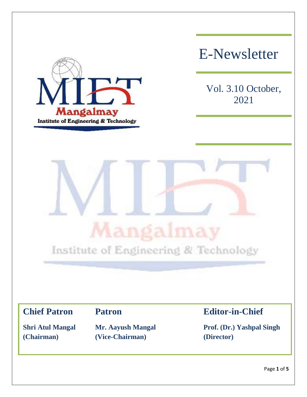

# E-Newsletter

Vol. 3.10 October, 2021



**(Chairman) (Vice-Chairman) (Director)**

**Chief Patron Patron Editor-in-Chief**

**Shri Atul Mangal Mr. Aayush Mangal Prof. (Dr.) Yashpal Singh**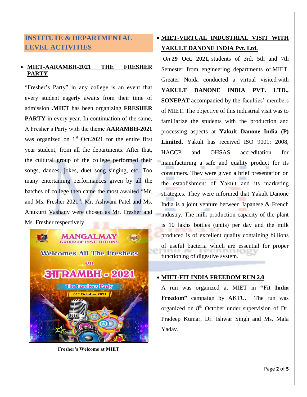# **INSTITUTE & DEPARTMENTAL LEVEL ACTIVITIES**

#### **MIET-AARAMBH-2021 THE FRESHER PARTY**

"Fresher's Party" in any college is an event that every student eagerly awaits from their time of admission **.MIET** has been organizing **FRESHER PARTY** in every year. In continuation of the same, A Fresher's Party with the theme **AARAMBH-2021** was organized on  $1<sup>st</sup>$  Oct.2021 for the entire first year student, from all the departments. After that, the cultural group of the college performed their songs, dances, jokes, duet song singing, etc. Too many entertaining performances given by all the batches of college then came the most awaited "Mr. and Ms. Fresher 2021". Mr. Ashwani Patel and Ms. Anukurti Vashany were chosen as Mr. Fresher and Ms. Fresher respectively



**Fresher's Welcome at MIET**

# **MIET-VIRTUAL INDUSTRIAL VISIT WITH YAKULT DANONE INDIA Pvt. Ltd.**

*On* **29 Oct. 2021***,* students of 3rd, 5th and 7th Semester from engineering departments of MIET, Greater Noida conducted a virtual visited with **YAKULT DANONE INDIA PVT. LTD., SONEPAT** accompanied by the faculties' members of MIET*.* The objective of this industrial visit was to familiarize the students with the production and processing aspects at **Yakult Danone India (P) Limited**. Yakult has received ISO 9001: 2008, HACCP and OHSAS accreditation for manufacturing a safe and quality product for its consumers. They were given a brief presentation on the establishment of Yakult and its marketing strategies. They were informed that Yakult Danone India is a joint venture between Japanese & French industry. The milk production capacity of the plant is 10 lakhs bottles (units) per day and the milk produced is of excellent quality containing billions of useful bacteria which are essential for proper functioning of digestive system.

#### **MIET-FIT INDIA FREEDOM RUN 2.0**

A run was organized at MIET in **"Fit India Freedom"** campaign by AKTU. The run was organized on 8<sup>th</sup> October under supervision of Dr. Pradeep Kumar, Dr. Ishwar Singh and Ms. Mala Yadav.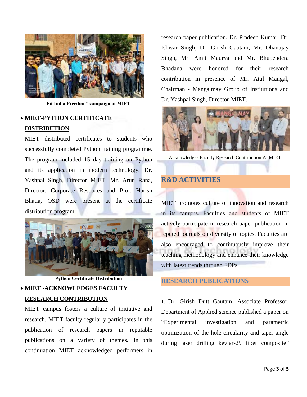

**Fit India Freedom" campaign at MIET**

# **MIET-PYTHON CERTIFICATE DISTRIBUTION**

MIET distributed certificates to students who successfully completed Python training programme. The program included 15 day training on Python and its application in modern technology. Dr. Yashpal Singh, Director MIET, Mr. Arun Rana, Director, Corporate Resouces and Prof. Harish Bhatia, OSD were present at the certificate distribution program.



**Python Certificate Distribution**

## **MIET -ACKNOWLEDGES FACULTY RESEARCH CONTRIBUTION**

MIET campus fosters a culture of initiative and research. MIET faculty regularly participates in the publication of research papers in reputable publications on a variety of themes. In this continuation MIET acknowledged performers in research paper publication. Dr. Pradeep Kumar, Dr. Ishwar Singh, Dr. Girish Gautam, Mr. Dhanajay Singh, Mr. Amit Maurya and Mr. Bhupendera Bhadana were honored for their research contribution in presence of Mr. Atul Mangal, Chairman - Mangalmay Group of Institutions and Dr. Yashpal Singh, Director-MIET.



Acknowledges Faculty Research Contribution At MIET

### **R&D ACTIVITIES**

MIET promotes culture of innovation and research in its campus. Faculties and students of MIET actively participate in research paper publication in reputed journals on diversity of topics. Faculties are also encouraged to continuously improve their teaching methodology and enhance their knowledge with latest trends through FDPs.

#### **RESEARCH PUBLICATIONS**

1. Dr. Girish Dutt Gautam, Associate Professor, Department of Applied science published a paper on "Experimental investigation and parametric optimization of the hole-circularity and taper angle during laser drilling kevlar-29 fiber composite"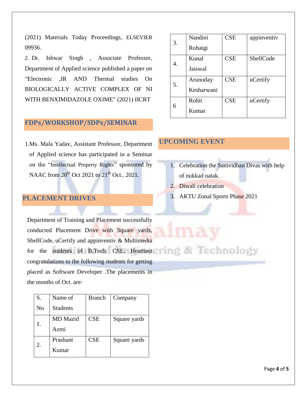(2021) Materials Today Proceedings, ELSEVIER 09936.

2. Dr. Ishwar Singh , Associate Professor, Department of Applied science published a paper on "Electronic ,IR AND Thermal studies On BIOLOGICALLY ACTIVE COMPLEX OF NI WITH BENXIMIDAZOLE OXIME" (2021) IICRT

# **FDPs/WORKSHOP/SDPs/SEMINAR**

1.Ms. Mala Yadav, Assistant Professor, Department of Applied science has participated in a Seminar on the "Intellectual Property Rights" sponsored by NAAC from  $20^{\text{th}}$  Oct  $2021$  to  $21^{\text{th}}$  Oct..  $2021$ .

#### **PLACEMENT DRIVES**

Department of Training and Placement successfully conducted Placement Drive with Square yards, ShellCode, uCertify and appinventiv & Multimedia for the students of B.Tech. CSE. Heartiest congratulations to the following students for getting placed as Software Developer .The placements in the months of Oct. are:

| S.             | Name of         | <b>Branch</b> | Company      |
|----------------|-----------------|---------------|--------------|
| N <sub>o</sub> | <b>Students</b> |               |              |
|                | <b>MD</b> Mazid | <b>CSE</b>    | Square yards |
|                | Azmi            |               |              |
| 2.             | Prashant        | <b>CSE</b>    | Square yards |
|                | Kumar           |               |              |

| 3. | Nandini    | <b>CSE</b> | appinventiv |
|----|------------|------------|-------------|
|    | Rohatgi    |            |             |
| 4. | Kunal      | <b>CSE</b> | ShellCode   |
|    | Jaiswal    |            |             |
| 5. | Arunoday   | <b>CSE</b> | uCertify    |
|    | Kesharwani |            |             |
| 6  | Rohit      | <b>CSE</b> | uCertify    |
|    | Kumar      |            |             |

#### **UPCOMING EVENT**

- 1. Celebration the Samvidhan Divas with help of nukkad natak.
- 2. Diwali celebration
- 3. AKTU Zonal Sports Phase 2021